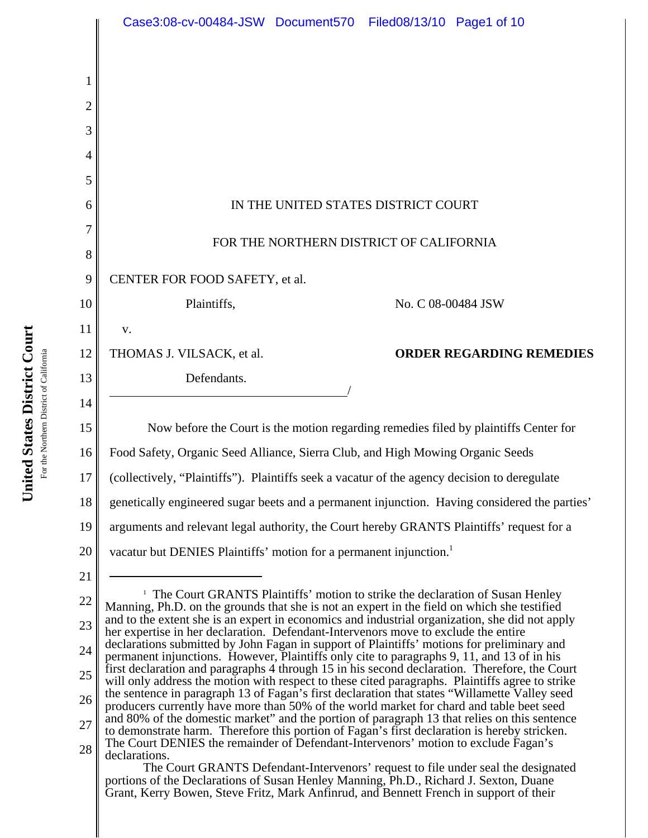|                | Case3:08-cv-00484-JSW Document570 Filed08/13/10 Page1 of 10                                                                                                                                                                                                                               |
|----------------|-------------------------------------------------------------------------------------------------------------------------------------------------------------------------------------------------------------------------------------------------------------------------------------------|
|                |                                                                                                                                                                                                                                                                                           |
| 1              |                                                                                                                                                                                                                                                                                           |
| $\overline{c}$ |                                                                                                                                                                                                                                                                                           |
| 3              |                                                                                                                                                                                                                                                                                           |
| 4              |                                                                                                                                                                                                                                                                                           |
| 5              |                                                                                                                                                                                                                                                                                           |
| 6              | IN THE UNITED STATES DISTRICT COURT                                                                                                                                                                                                                                                       |
| 7              |                                                                                                                                                                                                                                                                                           |
| 8              | FOR THE NORTHERN DISTRICT OF CALIFORNIA                                                                                                                                                                                                                                                   |
| 9              | CENTER FOR FOOD SAFETY, et al.                                                                                                                                                                                                                                                            |
| 10             | Plaintiffs,<br>No. C 08-00484 JSW                                                                                                                                                                                                                                                         |
| 11             | V.                                                                                                                                                                                                                                                                                        |
| 12             | <b>ORDER REGARDING REMEDIES</b><br>THOMAS J. VILSACK, et al.                                                                                                                                                                                                                              |
| 13             | Defendants.                                                                                                                                                                                                                                                                               |
| 14             |                                                                                                                                                                                                                                                                                           |
| 15             | Now before the Court is the motion regarding remedies filed by plaintiffs Center for                                                                                                                                                                                                      |
| 16             | Food Safety, Organic Seed Alliance, Sierra Club, and High Mowing Organic Seeds                                                                                                                                                                                                            |
| 17             | (collectively, "Plaintiffs"). Plaintiffs seek a vacatur of the agency decision to deregulate                                                                                                                                                                                              |
| 18             | genetically engineered sugar beets and a permanent injunction. Having considered the parties'                                                                                                                                                                                             |
| 19             | arguments and relevant legal authority, the Court hereby GRANTS Plaintiffs' request for a                                                                                                                                                                                                 |
| 20             | vacatur but DENIES Plaintiffs' motion for a permanent injunction.                                                                                                                                                                                                                         |
| 21             |                                                                                                                                                                                                                                                                                           |
| 22             | <sup>1</sup> The Court GRANTS Plaintiffs' motion to strike the declaration of Susan Henley<br>Manning, Ph.D. on the grounds that she is not an expert in the field on which she testified                                                                                                 |
| 23             | and to the extent she is an expert in economics and industrial organization, she did not apply<br>her expertise in her declaration. Defendant-Intervenors move to exclude the entire                                                                                                      |
| 24             | declarations submitted by John Fagan in support of Plaintiffs' motions for preliminary and<br>permanent injunctions. However, Plaintiffs only cite to paragraphs 9, 11, and 13 of in his<br>first declaration and paragraphs 4 through 15 in his second declaration. Therefore, the Court |
| 25             | will only address the motion with respect to these cited paragraphs. Plaintiffs agree to strike<br>the sentence in paragraph 13 of Fagan's first declaration that states "Willamette Valley seed                                                                                          |
| 26             | producers currently have more than 50% of the world market for chard and table beet seed<br>and 80% of the domestic market" and the portion of paragraph 13 that relies on this sentence                                                                                                  |
| 27             | to demonstrate harm. Therefore this portion of Fagan's first declaration is hereby stricken.<br>The Court DENIES the remainder of Defendant-Intervenors' motion to exclude Fagan's                                                                                                        |
| 28             | declarations.<br>The Court GRANTS Defendant-Intervenors' request to file under seal the designated                                                                                                                                                                                        |
|                | portions of the Declarations of Susan Henley Manning, Ph.D., Richard J. Sexton, Duane<br>Grant, Kerry Bowen, Steve Fritz, Mark Anfinrud, and Bennett French in support of their                                                                                                           |
|                |                                                                                                                                                                                                                                                                                           |

United States District Court **United States District Court** For the Northern District of California For the Northern District of California

I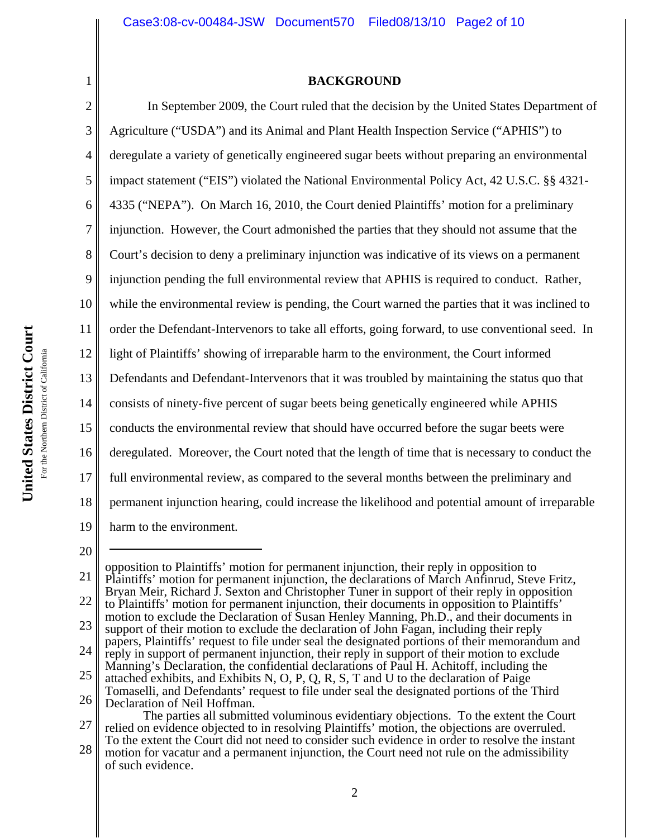# **BACKGROUND**

In September 2009, the Court ruled that the decision by the United States Department of

3 Agriculture ("USDA") and its Animal and Plant Health Inspection Service ("APHIS") to deregulate a variety of genetically engineered sugar beets without preparing an environmental 4 5 impact statement ("EIS") violated the National Environmental Policy Act, 42 U.S.C. §§ 4321- 6 7 8 9 10 11 United States District Court **United States District Court** 12 For the Northern District of California For the Northern District of California 13 14 15 16 17 18

1

2

20

19 21 22 23 24 25 opposition to Plaintiffs' motion for permanent injunction, their reply in opposition to Plaintiffs' motion for permanent injunction, the declarations of March Anfinrud, Steve Fritz, Bryan Meir, Richard J. Sexton and Christopher Tuner in support of their reply in opposition to Plaintiffs' motion for permanent injunction, their documents in opposition to Plaintiffs' motion to exclude the Declaration of Susan Henley Manning, Ph.D., and their documents in support of their motion to exclude the declaration of John Fagan, including their reply papers, Plaintiffs' request to file under seal the designated portions of their memorandum and reply in support of permanent injunction, their reply in support of their motion to exclude Manning's Declaration, the confidential declarations of Paul H. Achitoff, including the attached exhibits, and Exhibits N, O, P, Q, R, S, T and U to the declaration of Paige 4335 ("NEPA"). On March 16, 2010, the Court denied Plaintiffs' motion for a preliminary injunction. However, the Court admonished the parties that they should not assume that the Court's decision to deny a preliminary injunction was indicative of its views on a permanent injunction pending the full environmental review that APHIS is required to conduct. Rather, while the environmental review is pending, the Court warned the parties that it was inclined to order the Defendant-Intervenors to take all efforts, going forward, to use conventional seed. In light of Plaintiffs' showing of irreparable harm to the environment, the Court informed Defendants and Defendant-Intervenors that it was troubled by maintaining the status quo that consists of ninety-five percent of sugar beets being genetically engineered while APHIS conducts the environmental review that should have occurred before the sugar beets were deregulated. Moreover, the Court noted that the length of time that is necessary to conduct the full environmental review, as compared to the several months between the preliminary and permanent injunction hearing, could increase the likelihood and potential amount of irreparable harm to the environment.

27 28 The parties all submitted voluminous evidentiary objections. To the extent the Court relied on evidence objected to in resolving Plaintiffs' motion, the objections are overruled. To the extent the Court did not need to consider such evidence in order to resolve the instant motion for vacatur and a permanent injunction, the Court need not rule on the admissibility of such evidence.

<sup>26</sup> Tomaselli, and Defendants' request to file under seal the designated portions of the Third Declaration of Neil Hoffman.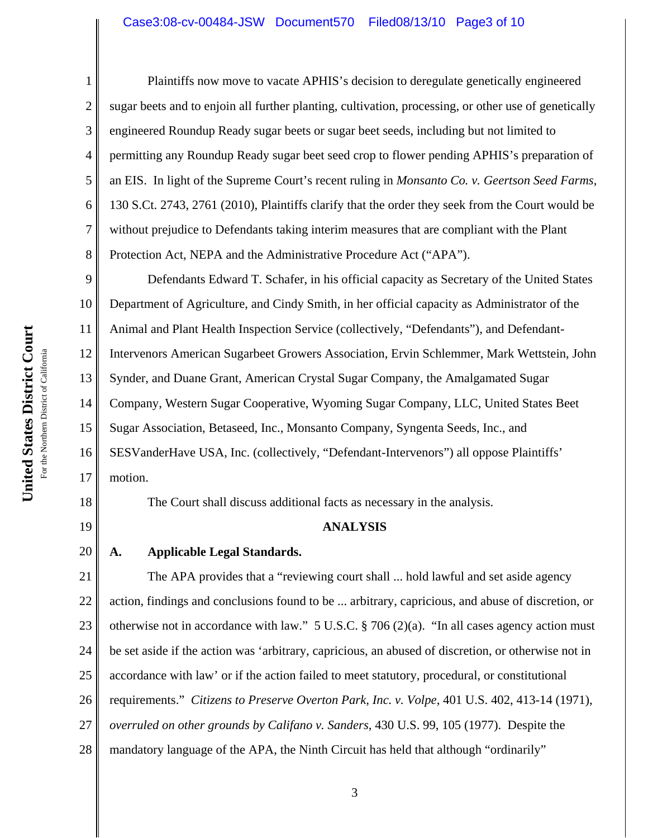## Case3:08-cv-00484-JSW Document570 Filed08/13/10 Page3 of 10

Plaintiffs now move to vacate APHIS's decision to deregulate genetically engineered sugar beets and to enjoin all further planting, cultivation, processing, or other use of genetically engineered Roundup Ready sugar beets or sugar beet seeds, including but not limited to permitting any Roundup Ready sugar beet seed crop to flower pending APHIS's preparation of an EIS. In light of the Supreme Court's recent ruling in *Monsanto Co. v. Geertson Seed Farms*, 130 S.Ct. 2743, 2761 (2010), Plaintiffs clarify that the order they seek from the Court would be without prejudice to Defendants taking interim measures that are compliant with the Plant Protection Act, NEPA and the Administrative Procedure Act ("APA").

9 10 11 12 13 14 15 16 17 Defendants Edward T. Schafer, in his official capacity as Secretary of the United States Department of Agriculture, and Cindy Smith, in her official capacity as Administrator of the Animal and Plant Health Inspection Service (collectively, "Defendants"), and Defendant-Intervenors American Sugarbeet Growers Association, Ervin Schlemmer, Mark Wettstein, John Synder, and Duane Grant, American Crystal Sugar Company, the Amalgamated Sugar Company, Western Sugar Cooperative, Wyoming Sugar Company, LLC, United States Beet Sugar Association, Betaseed, Inc., Monsanto Company, Syngenta Seeds, Inc., and SESVanderHave USA, Inc. (collectively, "Defendant-Intervenors") all oppose Plaintiffs' motion.

18

19

1

2

3

4

5

6

7

8

## **ANALYSIS**

The Court shall discuss additional facts as necessary in the analysis.

20 **A. Applicable Legal Standards.**

21 22 23 24 25 26 27 28 The APA provides that a "reviewing court shall ... hold lawful and set aside agency action, findings and conclusions found to be ... arbitrary, capricious, and abuse of discretion, or otherwise not in accordance with law." 5 U.S.C. § 706 (2)(a). "In all cases agency action must be set aside if the action was 'arbitrary, capricious, an abused of discretion, or otherwise not in accordance with law' or if the action failed to meet statutory, procedural, or constitutional requirements." *Citizens to Preserve Overton Park, Inc. v. Volpe*, 401 U.S. 402, 413-14 (1971), *overruled on other grounds by Califano v. Sanders*, 430 U.S. 99, 105 (1977). Despite the mandatory language of the APA, the Ninth Circuit has held that although "ordinarily"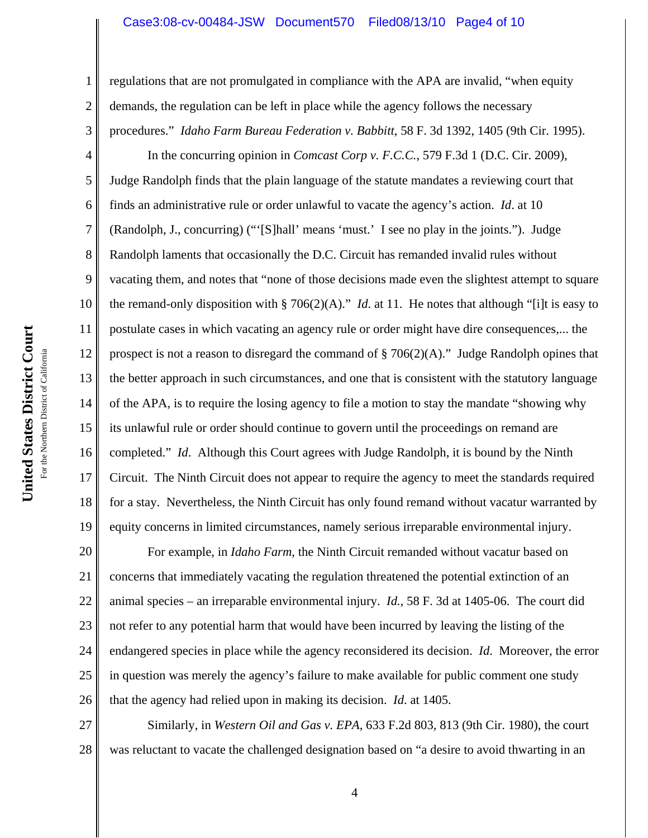#### Case3:08-cv-00484-JSW Document570 Filed08/13/10 Page4 of 10

regulations that are not promulgated in compliance with the APA are invalid, "when equity demands, the regulation can be left in place while the agency follows the necessary procedures." *Idaho Farm Bureau Federation v. Babbitt*, 58 F. 3d 1392, 1405 (9th Cir. 1995).

4 9 10 11 12 13 14 15 16 17 18 19 In the concurring opinion in *Comcast Corp v. F.C.C.*, 579 F.3d 1 (D.C. Cir. 2009), Judge Randolph finds that the plain language of the statute mandates a reviewing court that finds an administrative rule or order unlawful to vacate the agency's action. *Id*. at 10 (Randolph, J., concurring) ("'[S]hall' means 'must.' I see no play in the joints."). Judge Randolph laments that occasionally the D.C. Circuit has remanded invalid rules without vacating them, and notes that "none of those decisions made even the slightest attempt to square the remand-only disposition with § 706(2)(A)." *Id*. at 11. He notes that although "[i]t is easy to postulate cases in which vacating an agency rule or order might have dire consequences,... the prospect is not a reason to disregard the command of  $\S 706(2)(A)$ ." Judge Randolph opines that the better approach in such circumstances, and one that is consistent with the statutory language of the APA, is to require the losing agency to file a motion to stay the mandate "showing why its unlawful rule or order should continue to govern until the proceedings on remand are completed." *Id*. Although this Court agrees with Judge Randolph, it is bound by the Ninth Circuit. The Ninth Circuit does not appear to require the agency to meet the standards required for a stay. Nevertheless, the Ninth Circuit has only found remand without vacatur warranted by equity concerns in limited circumstances, namely serious irreparable environmental injury.

20 21 22 23 24 25 26 For example, in *Idaho Farm*, the Ninth Circuit remanded without vacatur based on concerns that immediately vacating the regulation threatened the potential extinction of an animal species – an irreparable environmental injury. *Id.*, 58 F. 3d at 1405-06. The court did not refer to any potential harm that would have been incurred by leaving the listing of the endangered species in place while the agency reconsidered its decision. *Id*. Moreover, the error in question was merely the agency's failure to make available for public comment one study that the agency had relied upon in making its decision. *Id*. at 1405.

27 28 Similarly, in *Western Oil and Gas v. EPA*, 633 F.2d 803, 813 (9th Cir. 1980), the court was reluctant to vacate the challenged designation based on "a desire to avoid thwarting in an

1

2

3

5

6

7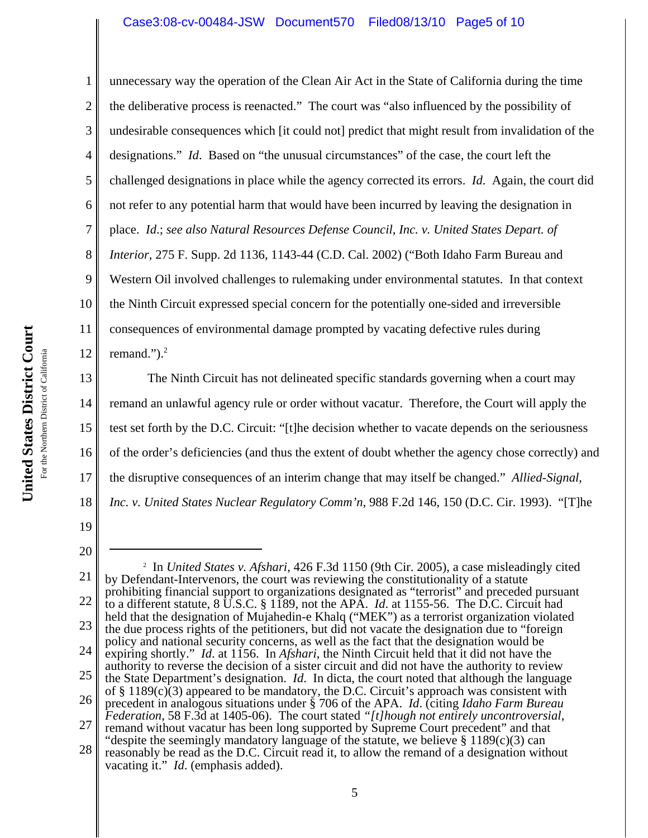1 2 3 4 5 6 7 8 9 10 11 12 unnecessary way the operation of the Clean Air Act in the State of California during the time the deliberative process is reenacted." The court was "also influenced by the possibility of undesirable consequences which [it could not] predict that might result from invalidation of the designations." *Id*. Based on "the unusual circumstances" of the case, the court left the challenged designations in place while the agency corrected its errors. *Id*. Again, the court did not refer to any potential harm that would have been incurred by leaving the designation in place. *Id*.; *see also Natural Resources Defense Council, Inc. v. United States Depart. of Interior*, 275 F. Supp. 2d 1136, 1143-44 (C.D. Cal. 2002) ("Both Idaho Farm Bureau and Western Oil involved challenges to rulemaking under environmental statutes. In that context the Ninth Circuit expressed special concern for the potentially one-sided and irreversible consequences of environmental damage prompted by vacating defective rules during remand."). $<sup>2</sup>$ </sup>

13 14 15 16 17 18 The Ninth Circuit has not delineated specific standards governing when a court may remand an unlawful agency rule or order without vacatur. Therefore, the Court will apply the test set forth by the D.C. Circuit: "[t]he decision whether to vacate depends on the seriousness of the order's deficiencies (and thus the extent of doubt whether the agency chose correctly) and the disruptive consequences of an interim change that may itself be changed." *Allied-Signal, Inc. v. United States Nuclear Regulatory Comm'n*, 988 F.2d 146, 150 (D.C. Cir. 1993). "[T]he

<sup>21</sup> 22 23 24 25 26 27 28 2 In *United States v. Afshari*, 426 F.3d 1150 (9th Cir. 2005), a case misleadingly cited by Defendant-Intervenors, the court was reviewing the constitutionality of a statute prohibiting financial support to organizations designated as "terrorist" and preceded pursuant to a different statute, 8 U.S.C. § 1189, not the APA. *Id*. at 1155-56. The D.C. Circuit had held that the designation of Mujahedin-e Khalq ("MEK") as a terrorist organization violated the due process rights of the petitioners, but did not vacate the designation due to "foreign policy and national security concerns, as well as the fact that the designation would be expiring shortly." *Id*. at 1156. In *Afshari*, the Ninth Circuit held that it did not have the authority to reverse the decision of a sister circuit and did not have the authority to review the State Department's designation. *Id*. In dicta, the court noted that although the language of  $\S 1189(c)(3)$  appeared to be mandatory, the D.C. Circuit's approach was consistent with precedent in analogous situations under § 706 of the APA. *Id*. (citing *Idaho Farm Bureau Federation*, 58 F.3d at 1405-06). The court stated *"[t]hough not entirely uncontroversial*, remand without vacatur has been long supported by Supreme Court precedent" and that "despite the seemingly mandatory language of the statute, we believe § 1189(c)(3) can reasonably be read as the D.C. Circuit read it, to allow the remand of a designation without vacating it." *Id*. (emphasis added).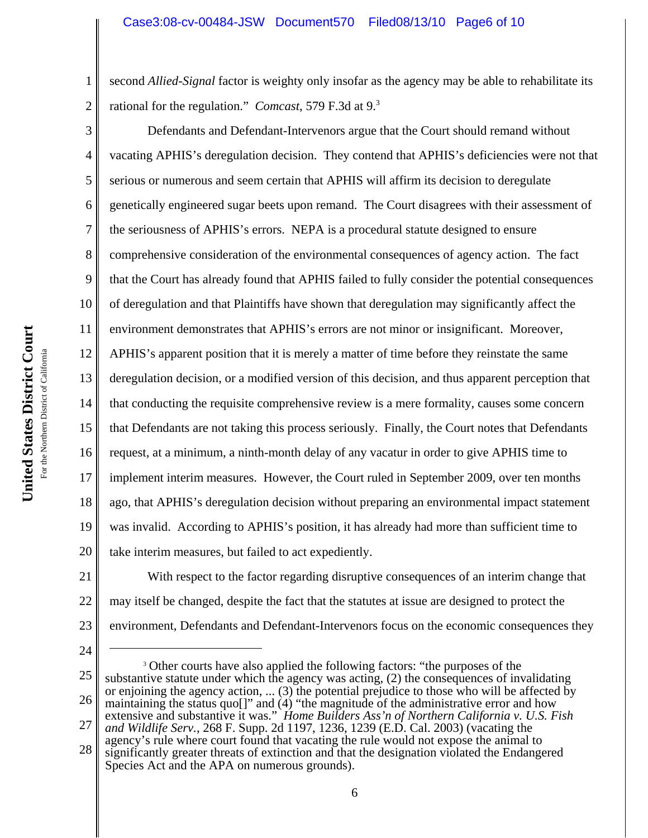second *Allied-Signal* factor is weighty only insofar as the agency may be able to rehabilitate its rational for the regulation." *Comcast*, 579 F.3d at 9.3

3 4 5 6 7 8 9 10 11 12 13 14 15 16 17 18 19 20 Defendants and Defendant-Intervenors argue that the Court should remand without vacating APHIS's deregulation decision. They contend that APHIS's deficiencies were not that serious or numerous and seem certain that APHIS will affirm its decision to deregulate genetically engineered sugar beets upon remand. The Court disagrees with their assessment of the seriousness of APHIS's errors. NEPA is a procedural statute designed to ensure comprehensive consideration of the environmental consequences of agency action. The fact that the Court has already found that APHIS failed to fully consider the potential consequences of deregulation and that Plaintiffs have shown that deregulation may significantly affect the environment demonstrates that APHIS's errors are not minor or insignificant. Moreover, APHIS's apparent position that it is merely a matter of time before they reinstate the same deregulation decision, or a modified version of this decision, and thus apparent perception that that conducting the requisite comprehensive review is a mere formality, causes some concern that Defendants are not taking this process seriously. Finally, the Court notes that Defendants request, at a minimum, a ninth-month delay of any vacatur in order to give APHIS time to implement interim measures. However, the Court ruled in September 2009, over ten months ago, that APHIS's deregulation decision without preparing an environmental impact statement was invalid. According to APHIS's position, it has already had more than sufficient time to take interim measures, but failed to act expediently.

21 22 23 With respect to the factor regarding disruptive consequences of an interim change that may itself be changed, despite the fact that the statutes at issue are designed to protect the environment, Defendants and Defendant-Intervenors focus on the economic consequences they

24

1

2

<sup>25</sup> 26 27 <sup>3</sup> Other courts have also applied the following factors: "the purposes of the substantive statute under which the agency was acting, (2) the consequences of invalidating or enjoining the agency action, ... (3) the potential prejudice to those who will be affected by maintaining the status quo[]" and (4) "the magnitude of the administrative error and how extensive and substantive it was." *Home Builders Ass'n of Northern California v. U.S. Fish and Wildlife Serv.*, 268 F. Supp. 2d 1197, 1236, 1239 (E.D. Cal. 2003) (vacating the

<sup>28</sup> agency's rule where court found that vacating the rule would not expose the animal to significantly greater threats of extinction and that the designation violated the Endangered Species Act and the APA on numerous grounds).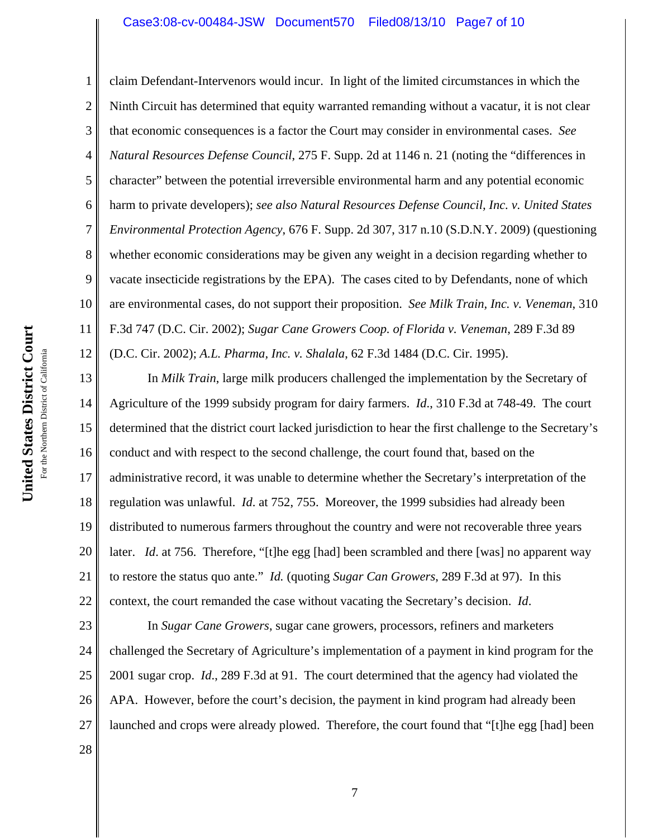# Case3:08-cv-00484-JSW Document570 Filed08/13/10 Page7 of 10

3 4 6 8 9 10 11 12 claim Defendant-Intervenors would incur. In light of the limited circumstances in which the Ninth Circuit has determined that equity warranted remanding without a vacatur, it is not clear that economic consequences is a factor the Court may consider in environmental cases. *See Natural Resources Defense Council*, 275 F. Supp. 2d at 1146 n. 21 (noting the "differences in character" between the potential irreversible environmental harm and any potential economic harm to private developers); *see also Natural Resources Defense Council, Inc. v. United States Environmental Protection Agency*, 676 F. Supp. 2d 307, 317 n.10 (S.D.N.Y. 2009) (questioning whether economic considerations may be given any weight in a decision regarding whether to vacate insecticide registrations by the EPA). The cases cited to by Defendants, none of which are environmental cases, do not support their proposition. *See Milk Train, Inc. v. Veneman*, 310 F.3d 747 (D.C. Cir. 2002); *Sugar Cane Growers Coop. of Florida v. Veneman*, 289 F.3d 89 (D.C. Cir. 2002); *A.L. Pharma, Inc. v. Shalala*, 62 F.3d 1484 (D.C. Cir. 1995).

13 14 15 16 17 18 19 20 21 22 In *Milk Train*, large milk producers challenged the implementation by the Secretary of Agriculture of the 1999 subsidy program for dairy farmers. *Id*., 310 F.3d at 748-49. The court determined that the district court lacked jurisdiction to hear the first challenge to the Secretary's conduct and with respect to the second challenge, the court found that, based on the administrative record, it was unable to determine whether the Secretary's interpretation of the regulation was unlawful. *Id*. at 752, 755. Moreover, the 1999 subsidies had already been distributed to numerous farmers throughout the country and were not recoverable three years later. *Id.* at 756. Therefore, "[t]he egg [had] been scrambled and there [was] no apparent way to restore the status quo ante." *Id.* (quoting *Sugar Can Growers*, 289 F.3d at 97). In this context, the court remanded the case without vacating the Secretary's decision. *Id*.

23 24 25 26 27 In *Sugar Cane Growers*, sugar cane growers, processors, refiners and marketers challenged the Secretary of Agriculture's implementation of a payment in kind program for the 2001 sugar crop. *Id*., 289 F.3d at 91. The court determined that the agency had violated the APA. However, before the court's decision, the payment in kind program had already been launched and crops were already plowed. Therefore, the court found that "[t]he egg [had] been

For the Northern District of California For the Northern District of California 1

2

5

7

28

**United States District Court**

United States District Court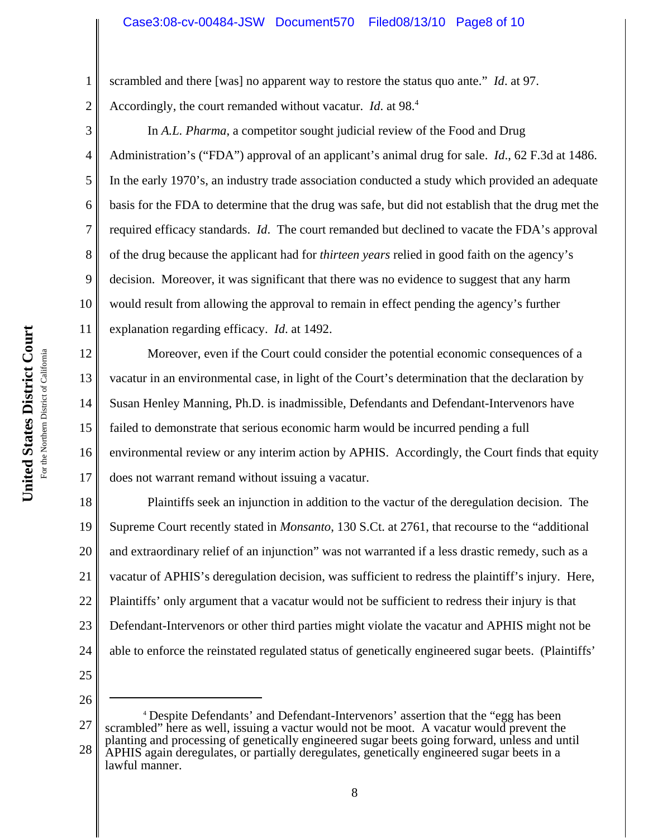scrambled and there [was] no apparent way to restore the status quo ante." *Id*. at 97.

Accordingly, the court remanded without vacatur. *Id.* at 98.<sup>4</sup>

4 10 In *A.L. Pharma*, a competitor sought judicial review of the Food and Drug Administration's ("FDA") approval of an applicant's animal drug for sale. *Id*., 62 F.3d at 1486. In the early 1970's, an industry trade association conducted a study which provided an adequate basis for the FDA to determine that the drug was safe, but did not establish that the drug met the required efficacy standards. *Id*. The court remanded but declined to vacate the FDA's approval of the drug because the applicant had for *thirteen years* relied in good faith on the agency's decision. Moreover, it was significant that there was no evidence to suggest that any harm would result from allowing the approval to remain in effect pending the agency's further explanation regarding efficacy. *Id*. at 1492.

12 13 14 15 16 17 Moreover, even if the Court could consider the potential economic consequences of a vacatur in an environmental case, in light of the Court's determination that the declaration by Susan Henley Manning, Ph.D. is inadmissible, Defendants and Defendant-Intervenors have failed to demonstrate that serious economic harm would be incurred pending a full environmental review or any interim action by APHIS. Accordingly, the Court finds that equity does not warrant remand without issuing a vacatur.

18 19 20 21 22 23 24 Plaintiffs seek an injunction in addition to the vactur of the deregulation decision. The Supreme Court recently stated in *Monsanto*, 130 S.Ct. at 2761, that recourse to the "additional and extraordinary relief of an injunction" was not warranted if a less drastic remedy, such as a vacatur of APHIS's deregulation decision, was sufficient to redress the plaintiff's injury. Here, Plaintiffs' only argument that a vacatur would not be sufficient to redress their injury is that Defendant-Intervenors or other third parties might violate the vacatur and APHIS might not be able to enforce the reinstated regulated status of genetically engineered sugar beets. (Plaintiffs'

25

26

27 28 <sup>4</sup> Despite Defendants' and Defendant-Intervenors' assertion that the "egg has been scrambled" here as well, issuing a vactur would not be moot. A vacatur would prevent the planting and processing of genetically engineered sugar beets going forward, unless and until APHIS again deregulates, or partially deregulates, genetically engineered sugar beets in a lawful manner.

1

2

3

5

6

7

8

9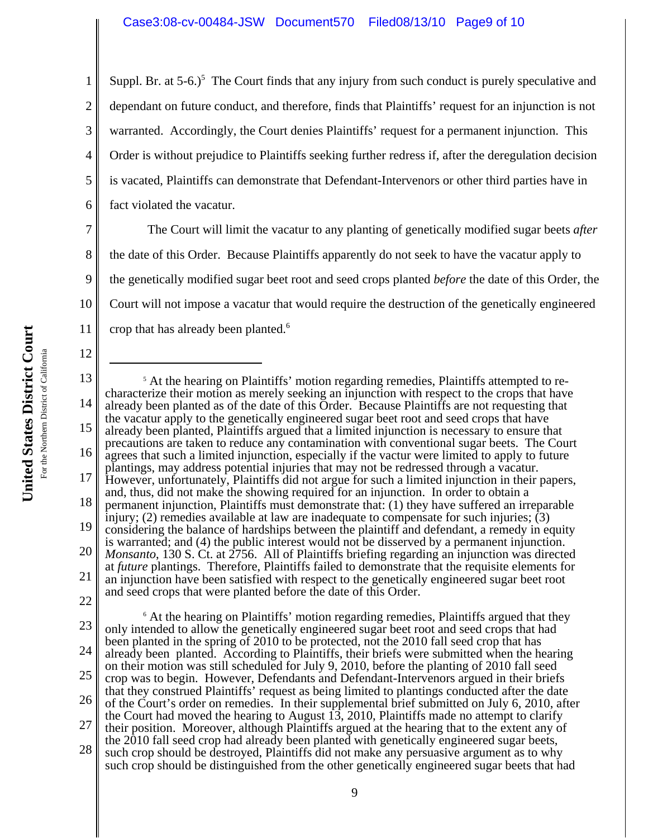1 2 3 4 5 6 Suppl. Br. at  $5-6.$ <sup>5</sup> The Court finds that any injury from such conduct is purely speculative and dependant on future conduct, and therefore, finds that Plaintiffs' request for an injunction is not warranted. Accordingly, the Court denies Plaintiffs' request for a permanent injunction. This Order is without prejudice to Plaintiffs seeking further redress if, after the deregulation decision is vacated, Plaintiffs can demonstrate that Defendant-Intervenors or other third parties have in fact violated the vacatur.

7 8 9 10 11 The Court will limit the vacatur to any planting of genetically modified sugar beets *after* the date of this Order. Because Plaintiffs apparently do not seek to have the vacatur apply to the genetically modified sugar beet root and seed crops planted *before* the date of this Order, the Court will not impose a vacatur that would require the destruction of the genetically engineered crop that has already been planted.<sup>6</sup>

United States District Court **United States District Court** For the Northern District of California For the Northern District of California

12

<sup>13</sup> 14 15 16 17 18 19 20 21 22 23 24 25 26 <sup>5</sup> At the hearing on Plaintiffs' motion regarding remedies, Plaintiffs attempted to recharacterize their motion as merely seeking an injunction with respect to the crops that have already been planted as of the date of this Order. Because Plaintiffs are not requesting that the vacatur apply to the genetically engineered sugar beet root and seed crops that have already been planted, Plaintiffs argued that a limited injunction is necessary to ensure that precautions are taken to reduce any contamination with conventional sugar beets. The Court agrees that such a limited injunction, especially if the vactur were limited to apply to future plantings, may address potential injuries that may not be redressed through a vacatur. However, unfortunately, Plaintiffs did not argue for such a limited injunction in their papers, and, thus, did not make the showing required for an injunction. In order to obtain a permanent injunction, Plaintiffs must demonstrate that: (1) they have suffered an irreparable injury; (2) remedies available at law are inadequate to compensate for such injuries;  $(3)$ considering the balance of hardships between the plaintiff and defendant, a remedy in equity is warranted; and (4) the public interest would not be disserved by a permanent injunction. *Monsanto*, 130 S. Ct. at 2756. All of Plaintiffs briefing regarding an injunction was directed at *future* plantings. Therefore, Plaintiffs failed to demonstrate that the requisite elements for an injunction have been satisfied with respect to the genetically engineered sugar beet root and seed crops that were planted before the date of this Order. <sup>6</sup> At the hearing on Plaintiffs' motion regarding remedies, Plaintiffs argued that they only intended to allow the genetically engineered sugar beet root and seed crops that had been planted in the spring of 2010 to be protected, not the 2010 fall seed crop that has already been planted. According to Plaintiffs, their briefs were submitted when the hearing on their motion was still scheduled for July 9, 2010, before the planting of 2010 fall seed crop was to begin. However, Defendants and Defendant-Intervenors argued in their briefs that they construed Plaintiffs' request as being limited to plantings conducted after the date of the Court's order on remedies. In their supplemental brief submitted on July 6, 2010, after

<sup>27</sup> the Court had moved the hearing to August  $\overline{13}$ , 2010, Plaintiffs made no attempt to clarify their position. Moreover, although Plaintiffs argued at the hearing that to the extent any of the 2010 fall seed crop had already been planted with genetically engineered sugar beets,

<sup>28</sup> such crop should be destroyed, Plaintiffs did not make any persuasive argument as to why such crop should be distinguished from the other genetically engineered sugar beets that had